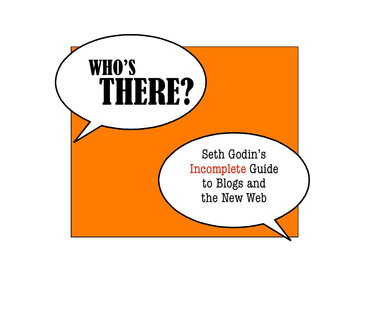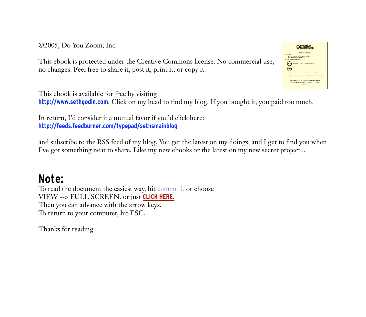©2005, Do You Zoom, Inc.  $\odot$ 2005, Do You Zoom, Inc.  $\Box$ the world are two kinds of people that the  $\odot$  $f(x) = \begin{bmatrix} 0.01 & 0.01 & 0.01 \\ 0.00 & 0.01 & 0.01 \\ 0.00 & 0.01 & 0.01 \end{bmatrix}$ 

no changes. Feel free to share it, post it, print it, or copy it. put for the category of the category before  $\mathbf{r}$  and  $\mathbf{r}$  and  $\mathbf{r}$  and  $\mathbf{r}$  and  $\mathbf{r}$  and  $\mathbf{r}$  and  $\mathbf{r}$  and  $\mathbf{r}$  and  $\mathbf{r}$  and  $\mathbf{r}$  and  $\mathbf{r}$  and  $\mathbf{r}$  and  $\mathbf{r}$  and  $\mathbf{r}$ This ebook is protected under the Creative Commons license. No commercial use, no changes. Feel free to share it, post it, print it, or copy it. kidnodnstate two terauly articles of people really and there is no people really and the people of people really are the people of people really are the people of people really are the people really are the people really  $\overline{g}$  and it is not there. Why? Lots of  $\overline{g}$  in order to  $\overline{g}$  in order to  $\overline{g}$  in order to  $\overline{g}$  in order to  $\overline{g}$  in order to  $\overline{g}$  in order to  $\overline{g}$  in  $\overline{g}$  in  $\overline{g}$  in  $\overline{g}$  in  $\overline$  $\frac{1}{2}$  or  $\frac{1}{2}$  and  $\frac{1}{2}$  and  $\frac{1}{2}$  and  $\frac{1}{2}$  and  $\frac{1}{2}$  and  $\frac{1}{2}$  and  $\frac{1}{2}$  and  $\frac{1}{2}$  and  $\frac{1}{2}$  and  $\frac{1}{2}$  and  $\frac{1}{2}$  and  $\frac{1}{2}$  and  $\frac{1}{2}$  and  $\frac{1}{2}$  and  $\frac{1}{2}$  an  $e^{\frac{1}{2}(\frac{1}{2}+\frac{1}{2}+\frac{1}{2}+\frac{1}{2}+\frac{1}{2}+\frac{1}{2}+\frac{1}{2}+\frac{1}{2}+\frac{1}{2}+\frac{1}{2}+\frac{1}{2}+\frac{1}{2}+\frac{1}{2}+\frac{1}{2}+\frac{1}{2}+\frac{1}{2}+\frac{1}{2}+\frac{1}{2}+\frac{1}{2}+\frac{1}{2}+\frac{1}{2}+\frac{1}{2}+\frac{1}{2}+\frac{1}{2}+\frac{1}{2}+\frac{1}{2}+\frac{1}{2}+\frac{1}{2}+\frac{1}{2}+\frac{1}{2}+\$  $\frac{1}{2}$  or anonymous or  $\frac{1}{2}$  media is social media is social media is social media in the social media is so corporate.



In return  $\Gamma d$  consider it a mutual favor if you'd click here. http://feeds.feedburner.com/tvpepad/sethsmainblog In return, I'd consider it a mutual favor if you'd click here: **<http://feeds.feedburner.com/typepad/sethsmainblog>** In return  $\Gamma d$  consider it a mutual favor if you'd click here. http://feeds.feedburner.com/typepad/sethsmainblog In return  $\Gamma d$  consider it a mutual favor if you'd click here. http://feeds.feedburner.com/typepad/sethsmainblog ink that they are the yo*oth* , anu'v *e*d *r* e myouade thi ink t reall thaty ctheylear that you th

I've got something neat to share. Like my new ebooks or the latest on my new secret project...  $\mathcal{O}$  is the came from a matter and idea came from a matter and it used to matter and it used to matter and it used to matter and it used to matter and it used to matter and it used to matter and it used to matter and and subscribe to the RSS feed of my blog. You get the latest on my doings, and I get to find you when I've got something neat to share. Like my new ebooks or the latest on my new secret project... and subscribe to the RSS feed of my blog. You get the latest on my doings, and I get to find you when I've got something neat to share. Like my new ebooks or the latest on my new secret project... Tve got something neat to share. Like my new ebooks or the latest on my new secret project... Tve got something neat to share. Like my new ebooks or the latest on my new secret project... and subscribe to the RSS feed of my blog. You get the latest on my doings, and I get to find you when I've got something neat to share. Like my new ebooks or the latest on my new secret project...

#### or Joshuah Micah Marshall say something, of When Doc Searls or Corey Doctorow rwaves or paid-for newsprint, while spr because med ead. That' ia companies had free ai **Note:** happened. If you do h-avford arss blog f chive of what had or most arss blog f chive of what had or most already or colleagues, you've got a boss blog. That means  $\mathcal{L}$  is you that means  $\mathcal{L}$ e an FCC license and they don't to do on radio, because you have you have you have you have you have you have e one too hard to do on a blog, because they have been a blog, because they have been a blog, because they have been a blog, because they have been a blog, because they have been a blog, because they have been a blog, beca

e the Dan Rathers of our age. For a while  $\mathbf{F}$  while  $\mathbf{F}$  is matter who said it. They are not a while it. They are not age. They are not a while it is matter who said it is matter who said it is matter who said it  $\frac{h}{h}$  the benefit of the block  $\frac{h}{h}$  blog  $\frac{h}{h}$  benefit in the bloggers with the arrow leave person year can also the the second measure the more than  $\frac{1}{2}$ .  $\frac{1}{\sqrt{2}}$  is the document the exiest way bit control L or choose Then you can advance with the arrow keys. To return to your computer, hit ESC. To read the document the easiest way, hit control L or choose VIEW --> FULL SCREEN. or just **CLICK HERE.** Then you can advance with the arrow keys. To return to your computer, hit ESC.  $\mathsf{NOLE:}$  $\begin{bmatrix} \text{10} \text{ read the document the easiest way, hit control } \text{L} \text{ or choose} \\ \text{10} \text{ FWHL} \text{ of the GOPENDM} \end{bmatrix}$  $\overline{V}$  to  $\overline{V}$  and  $\overline{V}$  contact  $\overline{V}$  and  $\overline{V}$  is  $\overline{V}$  and  $\overline{V}$  and  $\overline{V}$  are  $\overline{V}$  and  $\overline{V}$  and  $\overline{V}$  are  $\overline{V}$  and  $\overline{V}$  are  $\overline{V}$  and  $\overline{V}$  are  $\overline{V}$  and  $\overline{V}$  ar  $\blacksquare$ . your entries more robusting more robusting more robusting more robusting more robusting more robusting more robusting more robusting more robusting more robusting more robusting more robusting more robusting more  $VIEVV$  --2 P ULL SUREETV. OF fust **LEDA HERE.**  $VIEVV$  -2 P ULL SUREETV. OF fust **LEDA HERE.**  $\blacksquare$ Io read the document the easiest way, hit control  $\Box$  or choose r it we then you can advance with the arrow leave tween civility and anarchy The best blo , between passgsio walk a ver n and y fine line be I helf you can auvance with the arrow keys.<br>To return to your computer hit FSC  $\mathcal{L}$  okay , a lot too m at the enduchrise too m at  $\mathcal{L}$ 

d. In other words, a member of the state of the state is that all the state of the state  $\Gamma$ I hanks for reading. Thanks for reading. Thanks for reading. therefore reading.<br>Thanks for reading. his gaphored.com blog gets far more transition. However,  $\alpha$  gets far more transition is a great example of transition of the transition of the transition of the transition of the transition of the transition of the trans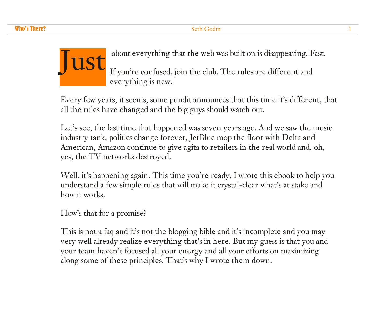

about everything that the web was built on is disappearing. Fast.

If you're confused, join the club. The rules are different and everything is new.

Every few years, it seems, some pundit announces that this time it's different, that all the rules have changed and the big guys should watch out.

Let's see, the last time that happened was seven years ago. And we saw the music industry tank, politics change forever, JetBlue mop the floor with Delta and American, Amazon continue to give agita to retailers in the real world and, oh, yes, the TV networks destroyed.

Well, it's happening again. This time you're ready. I wrote this ebook to help you understand a few simple rules that will make it crystal-clear what's at stake and how it works.

How's that for a promise?

This is not a faq and it's not the blogging bible and it's incomplete and you may very well already realize everything that's in here. But my guess is that you and your team haven't focused all your energy and all your efforts on maximizing along some of these principles. That's why I wrote them down.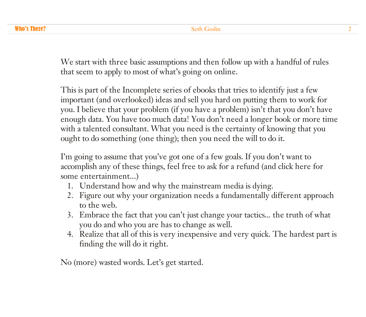We start with three basic assumptions and then follow up with a handful of rules that seem to apply to most of what's going on online.

This is part of the Incomplete series of ebooks that tries to identify just a few important (and overlooked) ideas and sell you hard on putting them to work for you. I believe that your problem (if you have a problem) isn't that you don't have enough data. You have too much data! You don't need a longer book or more time with a talented consultant. What you need is the certainty of knowing that you ought to do something (one thing); then you need the will to do it.

I'm going to assume that you've got one of a few goals. If you don't want to accomplish any of these things, feel free to ask for a refund (and click here for some entertainment...)

- 1. Understand how and why the mainstream media is dying.
- 2. Figure out why your organization needs a fundamentally different approach to the web.
- 3. Embrace the fact that you can't just change your tactics... the truth of what you do and who you are has to change as well.
- 4. Realize that all of this is very inexpensive and very quick. The hardest part is finding the will do it right.

No (more) wasted words. Let's get started.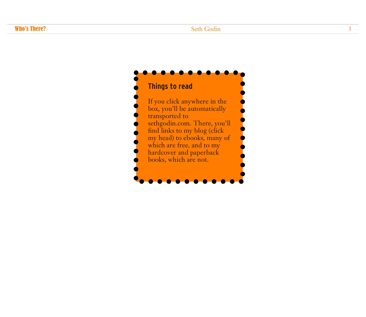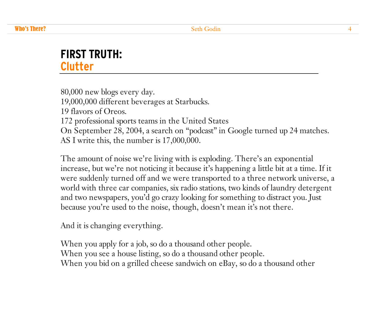### **FIRST TRUTH: Clutter**

80,000 new blogs every day. 19,000,000 different beverages at Starbucks. 19 flavors of Oreos. 172 professional sports teams in the United States On September 28, 2004, a search on "podcast" in Google turned up 24 matches. AS I write this, the number is 17,000,000.

The amount of noise we're living with is exploding. There's an exponential increase, but we're not noticing it because it's happening a little bit at a time. If it were suddenly turned off and we were transported to a three network universe, a world with three car companies, six radio stations, two kinds of laundry detergent and two newspapers, you'd go crazy looking for something to distract you. Just because you're used to the noise, though, doesn't mean it's not there.

And it is changing everything.

When you apply for a job, so do a thousand other people. When you see a house listing, so do a thousand other people. When you bid on a grilled cheese sandwich on eBay, so do a thousand other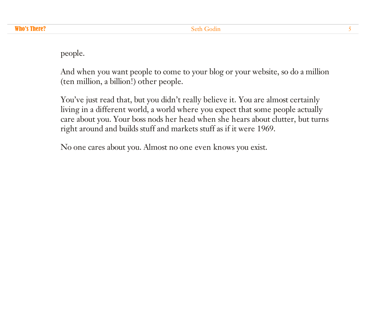people.

And when you want people to come to your blog or your website, so do a million (ten million, a billion!) other people.

You've just read that, but you didn't really believe it. You are almost certainly living in a different world, a world where you expect that some people actually care about you. Your boss nods her head when she hears about clutter, but turns right around and builds stuff and markets stuff as if it were 1969.

No one cares about you. Almost no one even knows you exist.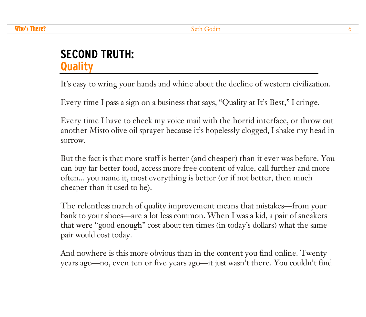# **SECOND TRUTH: Quality**

It's easy to wring your hands and whine about the decline of western civilization.

Every time I pass a sign on a business that says, "Quality at It's Best," I cringe.

Every time I have to check my voice mail with the horrid interface, or throw out another Misto olive oil sprayer because it's hopelessly clogged, I shake my head in sorrow.

But the fact is that more stuff is better (and cheaper) than it ever was before. You can buy far better food, access more free content of value, call further and more often... you name it, most everything is better (or if not better, then much cheaper than it used to be).

The relentless march of quality improvement means that mistakes—from your bank to your shoes—are a lot less common. When I was a kid, a pair of sneakers that were "good enough" cost about ten times (in today's dollars) what the same pair would cost today.

And nowhere is this more obvious than in the content you find online. Twenty years ago—no, even ten or five years ago—it just wasn't there. You couldn't find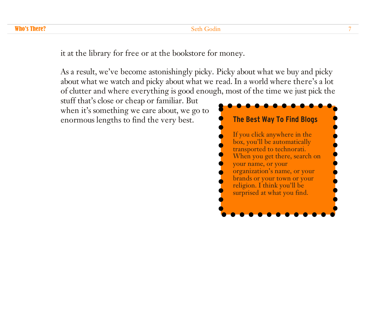#### **Who's There?** The Communication of the Seth Godin 2008 of the Seth Godin 2008 of the Seth Godin 2008 of the Seth Godin 2008 of the Seth Godin 2008 of the Seth Godin 2008 of the Seth Godin 2008 of the Seth Godin 2008 of th

it at the library for free or at the bookstore for money.

As a result, we've become astonishingly picky. Picky about what we buy and picky about what we watch and picky about what we read. In a world where there's a lot of clutter and where everything is good enough, most of the time we just pick the

stuff that's close or cheap or familiar. But when it's something we care about, we go to enormous lengths to find the very best. **The Best Way To Find Blogs**

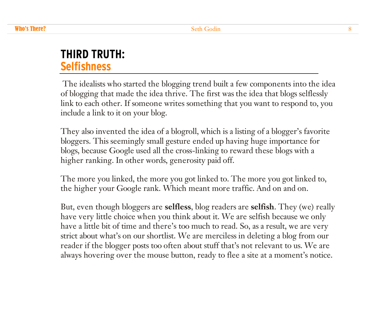# **THIRD TRUTH: Selfishness**

The idealists who started the blogging trend built a few components into the idea of blogging that made the idea thrive. The first was the idea that blogs selflessly link to each other. If someone writes something that you want to respond to, you include a link to it on your blog.

They also invented the idea of a blogroll, which is a listing of a blogger's favorite bloggers. This seemingly small gesture ended up having huge importance for blogs, because Google used all the cross-linking to reward these blogs with a higher ranking. In other words, generosity paid off.

The more you linked, the more you got linked to. The more you got linked to, the higher your Google rank. Which meant more traffic. And on and on.

But, even though bloggers are **selfless**, blog readers are **selfish**. They (we) really have very little choice when you think about it. We are selfish because we only have a little bit of time and there's too much to read. So, as a result, we are very strict about what's on our shortlist. We are merciless in deleting a blog from our reader if the blogger posts too often about stuff that's not relevant to us. We are always hovering over the mouse button, ready to flee a site at a moment's notice.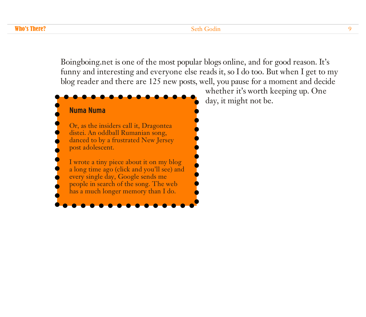#### **Who's There?** Seth Godin 99 and 2008 and 2008 and 2008 and 2008 and 2008 and 2008 and 2008 and 2008 and 2008 and 2008 and 2008 and 2008 and 2008 and 2008 and 2008 and 2008 and 2008 and 2008 and 2008 and 2008 and 2008 and

Boingboing.net is one of the most popular blogs online, and for good reason. It's funny and interesting and everyone else reads it, so I do too. But when I get to my blog reader and there are 125 new posts, well, you pause for a moment and decide



whether it's worth keeping up. One day, it might not be.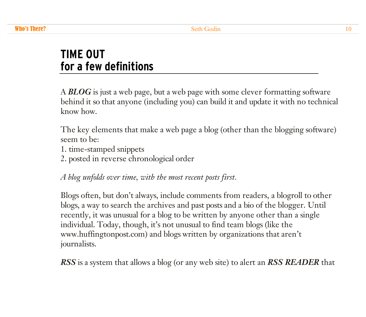# **TIME OUT for a few definitions**

A *BLOG* is just a web page, but a web page with some clever formatting software behind it so that anyone (including you) can build it and update it with no technical know how.

The key elements that make a web page a blog (other than the blogging software) seem to be:

- 1. time-stamped snippets
- 2. posted in reverse chronological order

*A blog unfolds over time, with the most recent posts first.*

Blogs often, but don't always, include comments from readers, a blogroll to other blogs, a way to search the archives and past posts and a bio of the blogger. Until recently, it was unusual for a blog to be written by anyone other than a single individual. Today, though, it's not unusual to find team blogs (like the www.huffingtonpost.com) and blogs written by organizations that aren't journalists.

*RSS* is a system that allows a blog (or any web site) to alert an *RSS READER* that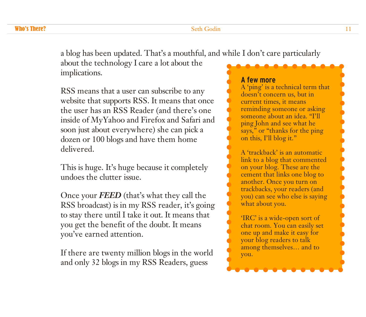#### **Who's There?** The Communication of the Seth Godin 11 and 200 methods of the Seth Godin 200 methods of the Seth Godin 200 methods of the Seth Godin 200 methods of the Seth Godin 200 methods of the Seth Godin 200 methods of

a blog has been updated. That's a mouthful, and while I don't care particularly

about the technology I care a lot about the implications.

RSS means that a user can subscribe to any website that supports RSS. It means that once the user has an RSS Reader (and there's one inside of MyYahoo and Firefox and Safari and soon just about everywhere) she can pick a dozen or 100 blogs and have them home delivered.

This is huge. It's huge because it completely undoes the clutter issue.

Once your *FEED* (that's what they call the RSS broadcast) is in my RSS reader, it's going to stay there until I take it out. It means that you get the benefit of the doubt. It means you've earned attention.

If there are twenty million blogs in the world and only 32 blogs in my RSS Readers, guess

#### **A few more**

A 'ping' is a technical term that doesn't concern us, but in current times, it means reminding someone or asking someone about an idea. "I'll ping John and see what he says," or "thanks for the ping" on this, I'll blog it."

A 'trackback' is an automatic link to a blog that commented on your blog. These are the cement that links one blog to another. Once you turn on trackbacks, your readers (and you) can see who else is saying what about you.

'IRC' is a wide-open sort of chat room. You can easily set one up and make it easy for your blog readers to talk among themselves… and to you.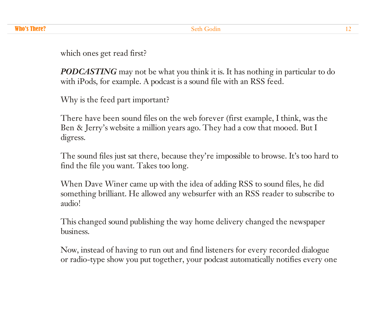which ones get read first?

*PODCASTING* may not be what you think it is. It has nothing in particular to do with iPods, for example. A podcast is a sound file with an RSS feed.

Why is the feed part important?

There have been sound files on the web forever (first example, I think, was the Ben & Jerry's website a million years ago. They had a cow that mooed. But I digress.

The sound files just sat there, because they're impossible to browse. It's too hard to find the file you want. Takes too long.

When Dave Winer came up with the idea of adding RSS to sound files, he did something brilliant. He allowed any websurfer with an RSS reader to subscribe to audio!

This changed sound publishing the way home delivery changed the newspaper business.

Now, instead of having to run out and find listeners for every recorded dialogue or radio-type show you put together, your podcast automatically notifies every one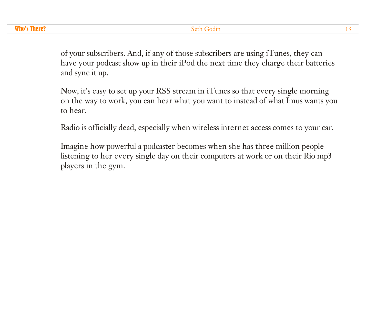of your subscribers. And, if any of those subscribers are using iTunes, they can have your podcast show up in their iPod the next time they charge their batteries and sync it up.

Now, it's easy to set up your RSS stream in iTunes so that every single morning on the way to work, you can hear what you want to instead of what Imus wants you to hear.

Radio is officially dead, especially when wireless internet access comes to your car.

Imagine how powerful a podcaster becomes when she has three million people listening to her every single day on their computers at work or on their Rio mp3 players in the gym.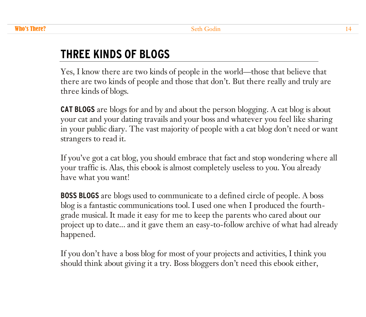# **THREE KINDS OF BLOGS**

Yes, I know there are two kinds of people in the world—those that believe that there are two kinds of people and those that don't. But there really and truly are three kinds of blogs.

**CAT BLOGS** are blogs for and by and about the person blogging. A cat blog is about your cat and your dating travails and your boss and whatever you feel like sharing in your public diary. The vast majority of people with a cat blog don't need or want strangers to read it.

If you've got a cat blog, you should embrace that fact and stop wondering where all your traffic is. Alas, this ebook is almost completely useless to you. You already have what you want!

**BOSS BLOGS** are blogs used to communicate to a defined circle of people. A boss blog is a fantastic communications tool. I used one when I produced the fourthgrade musical. It made it easy for me to keep the parents who cared about our project up to date... and it gave them an easy-to-follow archive of what had already happened.

If you don't have a boss blog for most of your projects and activities, I think you should think about giving it a try. Boss bloggers don't need this ebook either,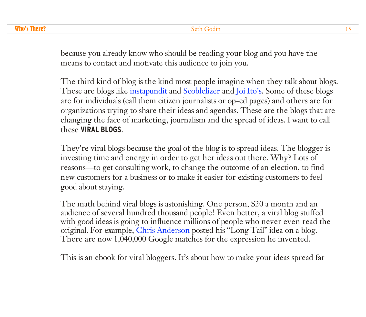because you already know who should be reading your blog and you have the means to contact and motivate this audience to join you.

The third kind of blog is the kind most people imagine when they talk about blogs. These are blogs like [instapundit](http://www.instapundit.com) and [Scoblelizer](http://radio.weblogs.com/0001011/) and Joi [Ito's.](http://joi.ito.com) Some of these blogs are for individuals (call them citizen journalists or op-ed pages) and others are for organizations trying to share their ideas and agendas. These are the blogs that are changing the face of marketing, journalism and the spread of ideas. I want to call these **VIRAL BLOGS**.

They're viral blogs because the goal of the blog is to spread ideas. The blogger is investing time and energy in order to get her ideas out there. Why? Lots of reasons—to get consulting work, to change the outcome of an election, to find new customers for a business or to make it easier for existing customers to feel good about staying.

The math behind viral blogs is astonishing. One person, \$20 a month and an audience of several hundred thousand people! Even better, a viral blog stuffed with good ideas is going to influence millions of people who never even read the original. For example, Chris [Anderson](http://www.google.com/search?q=%22long+tail%22&sourceid=mozilla-search&start=0&start=0&ie=utf-8&oe=utf-8&client=firefox-a&rls=org.mozilla:en-US:official) posted his "Long Tail" idea on a blog. There are now 1,040,000 Google matches for the expression he invented.

This is an ebook for viral bloggers. It's about how to make your ideas spread far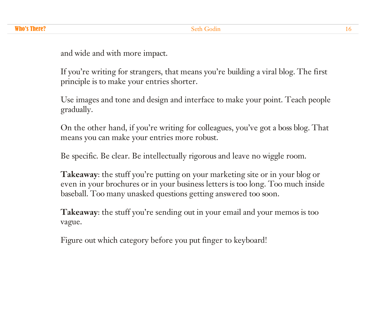and wide and with more impact.

If you're writing for strangers, that means you're building a viral blog. The first principle is to make your entries shorter.

Use images and tone and design and interface to make your point. Teach people gradually.

On the other hand, if you're writing for colleagues, you've got a boss blog. That means you can make your entries more robust.

Be specific. Be clear. Be intellectually rigorous and leave no wiggle room.

**Takeaway**: the stuff you're putting on your marketing site or in your blog or even in your brochures or in your business letters is too long. Too much inside baseball. Too many unasked questions getting answered too soon.

**Takeaway**: the stuff you're sending out in your email and your memos is too vague.

Figure out which category before you put finger to keyboard!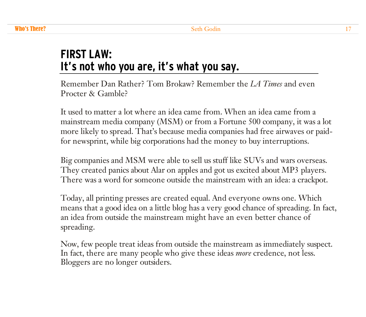# **FIRST LAW: It's not who you are, it's what you say.**

Remember Dan Rather? Tom Brokaw? Remember the *LA Times* and even Procter & Gamble?

It used to matter a lot where an idea came from. When an idea came from a mainstream media company (MSM) or from a Fortune 500 company, it was a lot more likely to spread. That's because media companies had free airwaves or paidfor newsprint, while big corporations had the money to buy interruptions.

Big companies and MSM were able to sell us stuff like SUVs and wars overseas. They created panics about Alar on apples and got us excited about MP3 players. There was a word for someone outside the mainstream with an idea: a crackpot.

Today, all printing presses are created equal. And everyone owns one. Which means that a good idea on a little blog has a very good chance of spreading. In fact, an idea from outside the mainstream might have an even better chance of spreading.

Now, few people treat ideas from outside the mainstream as immediately suspect. In fact, there are many people who give these ideas *more* credence, not less. Bloggers are no longer outsiders.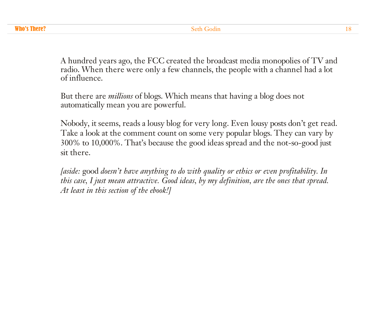A hundred years ago, the FCC created the broadcast media monopolies of TV and radio. When there were only a few channels, the people with a channel had a lot of influence.

But there are *millions* of blogs. Which means that having a blog does not automatically mean you are powerful.

Nobody, it seems, reads a lousy blog for very long. Even lousy posts don't get read. Take a look at the comment count on some very popular blogs. They can vary by 300% to 10,000%. That's because the good ideas spread and the not-so-good just sit there.

*[aside:* good *doesn't have anything to do with quality or ethics or even profitability. In this case, I just mean attractive. Good ideas, by my definition, are the ones that spread. At least in this section of the ebook!]*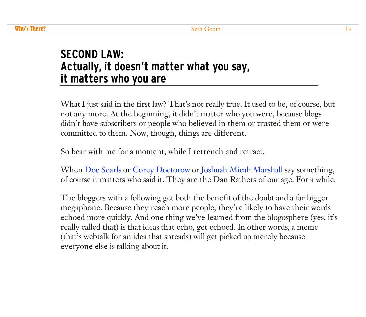# **SECOND LAW: Actually, it doesn't matter what you say, it matters who you are**

What I just said in the first law? That's not really true. It used to be, of course, but not any more. At the beginning, it didn't matter who you were, because blogs didn't have subscribers or people who believed in them or trusted them or were committed to them. Now, though, things are different.

So bear with me for a moment, while I retrench and retract.

When Doc [Searls](http://doc.weblogs.com/) or Corey [Doctorow](http://www.boingboing.net) or Joshuah Micah [Marshall](http://www.talkingpointsmemo.com/) say something, of course it matters who said it. They are the Dan Rathers of our age. For a while.

The bloggers with a following get both the benefit of the doubt and a far bigger megaphone. Because they reach more people, they're likely to have their words echoed more quickly. And one thing we've learned from the blogosphere (yes, it's really called that) is that ideas that echo, get echoed. In other words, a meme (that's webtalk for an idea that spreads) will get picked up merely because everyone else is talking about it.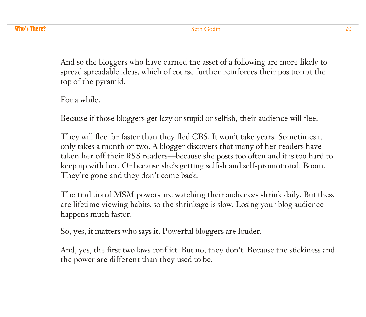And so the bloggers who have earned the asset of a following are more likely to spread spreadable ideas, which of course further reinforces their position at the top of the pyramid.

For a while.

Because if those bloggers get lazy or stupid or selfish, their audience will flee.

They will flee far faster than they fled CBS. It won't take years. Sometimes it only takes a month or two. A blogger discovers that many of her readers have taken her off their RSS readers—because she posts too often and it is too hard to keep up with her. Or because she's getting selfish and self-promotional. Boom. They're gone and they don't come back.

The traditional MSM powers are watching their audiences shrink daily. But these are lifetime viewing habits, so the shrinkage is slow. Losing your blog audience happens much faster.

So, yes, it matters who says it. Powerful bloggers are louder.

And, yes, the first two laws conflict. But no, they don't. Because the stickiness and the power are different than they used to be.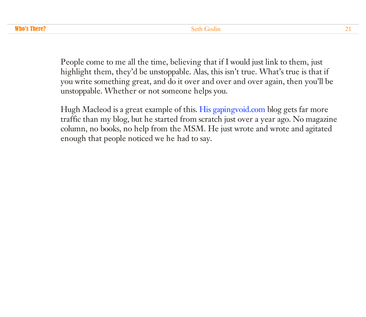People come to me all the time, believing that if I would just link to them, just highlight them, they'd be unstoppable. Alas, this isn't true. What's true is that if you write something great, and do it over and over and over again, then you'll be unstoppable. Whether or not someone helps you.

Hugh Macleod is a great example of this. His [gapingvoid.com](http://www.gapingvoid.com) blog gets far more traffic than my blog, but he started from scratch just over a year ago. No magazine column, no books, no help from the MSM. He just wrote and wrote and agitated enough that people noticed we he had to say.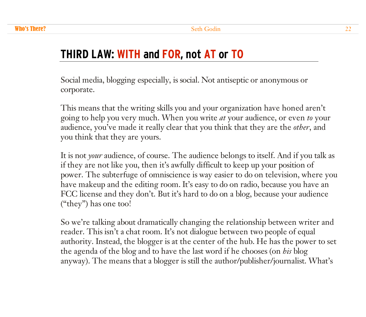# **THIRD LAW: WITH and FOR, not AT or TO**

Social media, blogging especially, is social. Not antiseptic or anonymous or corporate.

This means that the writing skills you and your organization have honed aren't going to help you very much. When you write *at* your audience, or even *to* your audience, you've made it really clear that you think that they are the *other*, and you think that they are yours.

It is not *your* audience, of course. The audience belongs to itself. And if you talk as if they are not like you, then it's awfully difficult to keep up your position of power. The subterfuge of omniscience is way easier to do on television, where you have makeup and the editing room. It's easy to do on radio, because you have an FCC license and they don't. But it's hard to do on a blog, because your audience ("they") has one too!

So we're talking about dramatically changing the relationship between writer and reader. This isn't a chat room. It's not dialogue between two people of equal authority. Instead, the blogger is at the center of the hub. He has the power to set the agenda of the blog and to have the last word if he chooses (on *his* blog anyway). The means that a blogger is still the author/publisher/journalist. What's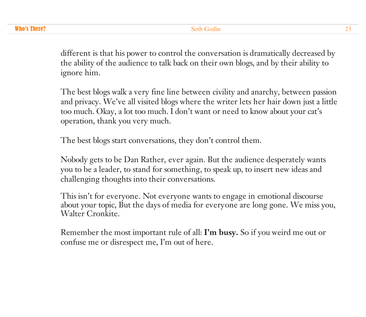different is that his power to control the conversation is dramatically decreased by the ability of the audience to talk back on their own blogs, and by their ability to ignore him.

The best blogs walk a very fine line between civility and anarchy, between passion and privacy. We've all visited blogs where the writer lets her hair down just a little too much. Okay, a lot too much. I don't want or need to know about your cat's operation, thank you very much.

The best blogs start conversations, they don't control them.

Nobody gets to be Dan Rather, ever again. But the audience desperately wants you to be a leader, to stand for something, to speak up, to insert new ideas and challenging thoughts into their conversations.

This isn't for everyone. Not everyone wants to engage in emotional discourse about your topic, But the days of media for everyone are long gone. We miss you, Walter Cronkite.

Remember the most important rule of all: **I'm busy.** So if you weird me out or confuse me or disrespect me, I'm out of here.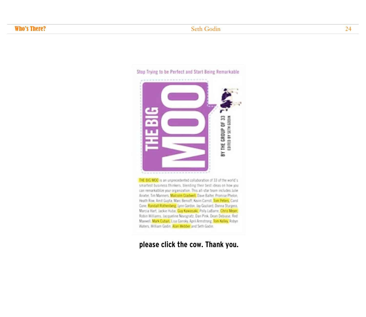

THE BIG MOO is an unprecedented collaboration of 33 of the world's smarfiest business thinkers, blending their best ideas on how you can remarkablice your organization. This all-star team includes Julie Anider, Tim Manners, Malcolm Gladwell, Dave Balter, Promise Phelon, Heath Row, Amit Gupta, Marc Benioff, Kevin Carroll, Tom Peters, Carol Cone, Randall Rothenberg, Lynn Gordon, Jay Gouliand, Donna Sturgess, Marcia Hart, Jackie Huba, Gay Kawasaki, Polly LaBarre, Chris Meyer, Robin Williams, Jacqueline Novogratz, Dan Pink, Dean Debiase, Red Maxwell, Mark Cuban, Lisa Gansky, April Armstrong, Tom Kelley, Robyn Waters, William Godin, Alan Webber and Seth Godin.

#### **[please](http://www.thebigmoo.com) click the cow. Thank you.**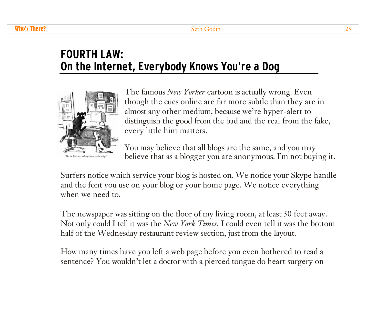# **FOURTH LAW: On the Internet, Everybody Knows You're a Dog**



The famous *New Yorker* cartoon is actually wrong. Even though the cues online are far more subtle than they are in almost any other medium, because we're hyper-alert to distinguish the good from the bad and the real from the fake, every little hint matters.

You may believe that all blogs are the same, and you may believe that as a blogger you are anonymous. I'm not buying it.

Surfers notice which service your blog is hosted on. We notice your Skype handle and the font you use on your blog or your home page. We notice everything when we need to.

The newspaper was sitting on the floor of my living room, at least 30 feet away. Not only could I tell it was the *New York Times,* I could even tell it was the bottom half of the Wednesday restaurant review section, just from the layout.

How many times have you left a web page before you even bothered to read a sentence? You wouldn't let a doctor with a pierced tongue do heart surgery on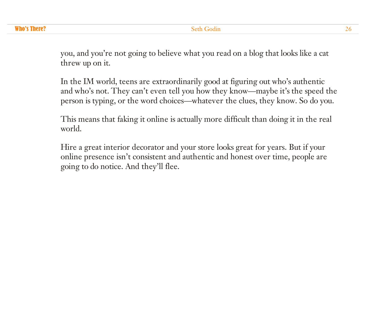you, and you're not going to believe what you read on a blog that looks like a cat threw up on it.

In the IM world, teens are extraordinarily good at figuring out who's authentic and who's not. They can't even tell you how they know—maybe it's the speed the person is typing, or the word choices—whatever the clues, they know. So do you.

This means that faking it online is actually more difficult than doing it in the real world.

Hire a great interior decorator and your store looks great for years. But if your online presence isn't consistent and authentic and honest over time, people are going to do notice. And they'll flee.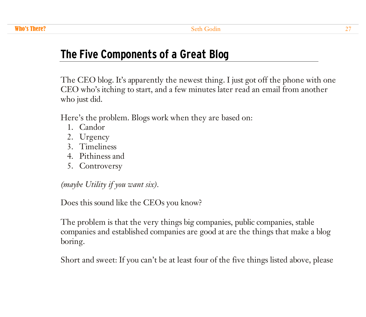# **The Five Components of a Great Blog**

The CEO blog. It's apparently the newest thing. I just got off the phone with one CEO who's itching to start, and a few minutes later read an email from another who just did.

Here's the problem. Blogs work when they are based on:

- 1. Candor
- 2. Urgency
- 3. Timeliness
- 4. Pithiness and
- 5. Controversy

*(maybe Utility if you want six).*

Does this sound like the CEOs you know?

The problem is that the very things big companies, public companies, stable companies and established companies are good at are the things that make a blog boring.

Short and sweet: If you can't be at least four of the five things listed above, please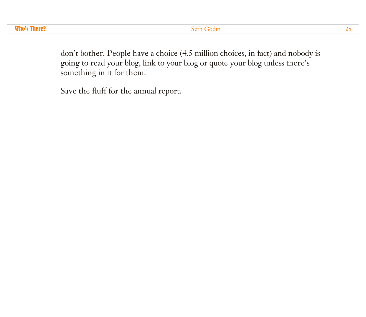don't bother. People have a choice (4.5 million choices, in fact) and nobody is going to read your blog, link to your blog or quote your blog unless there's something in it for them.

Save the fluff for the annual report.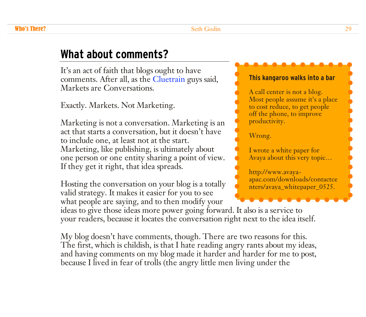### **What about comments?**

It's an act of faith that blogs ought to have comments. After all, as the [Cluetrain](http://www.cluetrain.com/) guys said, Markets are Conversations.

Exactly. Markets. Not Marketing.

Marketing is not a conversation. Marketing is an act that starts a conversation, but it doesn't have to include one, at least not at the start. Marketing, like publishing, is ultimately about one person or one entity sharing a point of view. If they get it right, that idea spreads.

Hosting the conversation on your blog is a totally valid strategy. It makes it easier for you to see what people are saying, and to then modify your

#### **This kangaroo walks into a bar**

A call center is not a blog. Most people assume it's a place to cost reduce, to get people off the phone, to improve productivity.

Wrong.

I wrote a white paper for Avaya about this very topic…

http://www.avaya[apac.com/downloads/contactce](http://www.avaya-apac.com/downloads/contactcenters/avaya_whitepaper_0525.pdf) nters/avaya\_whitepaper\_0525.

ideas to give those ideas more power going forward. It also is a service to your readers, because it locates the conversation right next to the idea itself.

My blog doesn't have comments, though. There are two reasons for this. The first, which is childish, is that I hate reading angry rants about my ideas, and having comments on my blog made it harder and harder for me to post, because I lived in fear of trolls (the angry little men living under the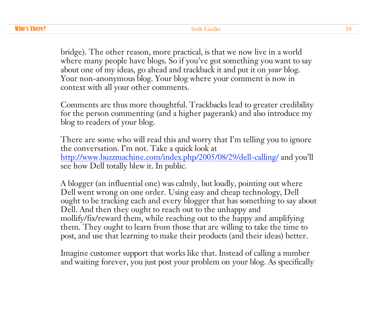bridge). The other reason, more practical, is that we now live in a world where many people have blogs. So if you've got something you want to say about one of my ideas, go ahead and trackback it and put it on *your* blog. Your non-anonymous blog. Your blog where your comment is now in context with all your other comments.

Comments are thus more thoughtful. Trackbacks lead to greater credibility for the person commenting (and a higher pagerank) and also introduce my blog to readers of your blog.

There are some who will read this and worry that I'm telling you to ignore the conversation. I'm not. Take a quick look at <http://www.buzzmachine.com/index.php/2005/08/29/dell-calling/> and you'll see how Dell totally blew it. In public.

A blogger (an influential one) was calmly, but loudly, pointing out where Dell went wrong on one order. Using easy and cheap technology, Dell ought to be tracking each and every blogger that has something to say about Dell. And then they ought to reach out to the unhappy and mollify/fix/reward them, while reaching out to the happy and amplifying them. They ought to learn from those that are willing to take the time to post, and use that learning to make their products (and their ideas) better.

Imagine customer support that works like that. Instead of calling a number and waiting forever, you just post your problem on your blog. As specifically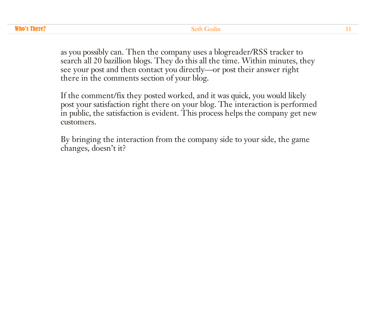as you possibly can. Then the company uses a blogreader/RSS tracker to search all 20 bazillion blogs. They do this all the time. Within minutes, they see your post and then contact you directly—or post their answer right there in the comments section of your blog.

If the comment/fix they posted worked, and it was quick, you would likely post your satisfaction right there on your blog. The interaction is performed in public, the satisfaction is evident. This process helps the company get new customers.

By bringing the interaction from the company side to your side, the game changes, doesn't it?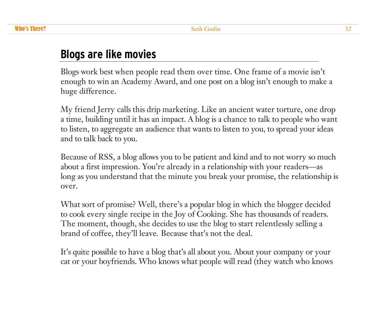### **Blogs are like movies**

Blogs work best when people read them over time. One frame of a movie isn't enough to win an Academy Award, and one post on a blog isn't enough to make a huge difference.

My friend Jerry calls this drip marketing. Like an ancient water torture, one drop a time, building until it has an impact. A blog is a chance to talk to people who want to listen, to aggregate an audience that wants to listen to you, to spread your ideas and to talk back to you.

Because of RSS, a blog allows you to be patient and kind and to not worry so much about a first impression. You're already in a relationship with your readers—as long as you understand that the minute you break your promise, the relationship is over.

What sort of promise? Well, there's a popular blog in which the blogger decided to cook every single recipe in the Joy of Cooking. She has thousands of readers. The moment, though, she decides to use the blog to start relentlessly selling a brand of coffee, they'll leave. Because that's not the deal.

It's quite possible to have a blog that's all about you. About your company or your cat or your boyfriends. Who knows what people will read (they watch who knows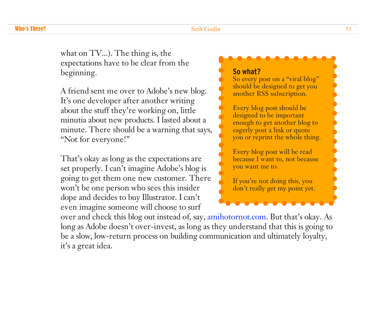what on TV...). The thing is, the expectations have to be clear from the beginning.

A friend sent me over to Adobe's new blog. It's one developer after another writing about the stuff they're working on, little minutia about new products. I lasted about a minute. There should be a warning that says, "Not for everyone!"

That's okay as long as the expectations are set properly. I can't imagine Adobe's blog is going to get them one new customer. There won't be one person who sees this insider dope and decides to buy Illustrator. I can't even imagine someone will choose to surf

#### **So what?**

So every post on a "viral blog" should be designed to get you another RSS subscription.

Every blog post should be designed to be important enough to get another blog to eagerly post a link or quote you or reprint the whole thing.

Every blog post will be read because I want to, not because you want me to.

If you're not doing this, you don't really get my point yet.

over and check this blog out instead of, say, amihotornot.com. But that's okay. As long as Adobe doesn't over-invest, as long as they understand that this is going to be a slow, low-return process on building communication and ultimately loyalty, it's a great idea.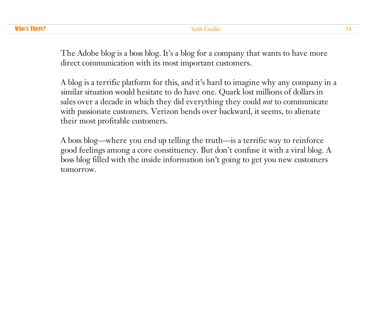The Adobe blog is a boss blog. It's a blog for a company that wants to have more direct communication with its most important customers.

A blog is a terrific platform for this, and it's hard to imagine why any company in a similar situation would hesitate to do have one. Quark lost millions of dollars in sales over a decade in which they did everything they could *not* to communicate with passionate customers. Verizon bends over backward, it seems, to alienate their most profitable customers.

A boss blog—where you end up telling the truth—is a terrific way to reinforce good feelings among a core constituency. But don't confuse it with a viral blog. A boss blog filled with the inside information isn't going to get you new customers tomorrow.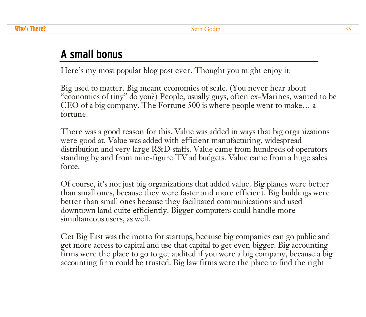### **A small bonus**

Here's my most popular blog post ever. Thought you might enjoy it:

Big used to matter. Big meant economies of scale. (You never hear about "economies of tiny" do you?) People, usually guys, often ex-Marines, wanted to be CEO of a big company. The Fortune 500 is where people went to make… a fortune.

There was a good reason for this. Value was added in ways that big organizations were good at. Value was added with efficient manufacturing, widespread distribution and very large R&D staffs. Value came from hundreds of operators standing by and from nine-figure TV ad budgets. Value came from a huge sales force.

Of course, it's not just big organizations that added value. Big planes were better than small ones, because they were faster and more efficient. Big buildings were better than small ones because they facilitated communications and used downtown land quite efficiently. Bigger computers could handle more simultaneous users, as well.

Get Big Fast was the motto for startups, because big companies can go public and get more access to capital and use that capital to get even bigger. Big accounting firms were the place to go to get audited if you were a big company, because a big accounting firm could be trusted. Big law firms were the place to find the right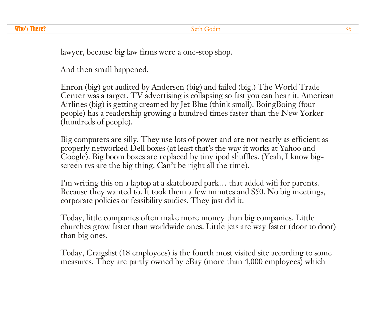lawyer, because big law firms were a one-stop shop.

And then small happened.

Enron (big) got audited by Andersen (big) and failed (big.) The World Trade Center was a target. TV advertising is collapsing so fast you can hear it. American Airlines (big) is getting creamed by Jet Blue (think small). BoingBoing (four people) has a readership growing a hundred times faster than the New Yorker (hundreds of people).

Big computers are silly. They use lots of power and are not nearly as efficient as properly networked Dell boxes (at least that's the way it works at Yahoo and Google). Big boom boxes are replaced by tiny ipod shuffles. (Yeah, I know bigscreen tvs are the big thing. Can't be right all the time).

I'm writing this on a laptop at a skateboard park… that added wifi for parents. Because they wanted to. It took them a few minutes and \$50. No big meetings, corporate policies or feasibility studies. They just did it.

Today, little companies often make more money than big companies. Little churches grow faster than worldwide ones. Little jets are way faster (door to door) than big ones.

Today, Craigslist (18 employees) is the fourth most visited site according to some measures. They are partly owned by eBay (more than 4,000 employees) which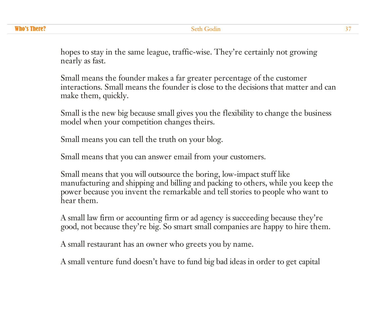hopes to stay in the same league, traffic-wise. They're certainly not growing nearly as fast.

Small means the founder makes a far greater percentage of the customer interactions. Small means the founder is close to the decisions that matter and can make them, quickly.

Small is the new big because small gives you the flexibility to change the business model when your competition changes theirs.

Small means you can tell the truth on your blog.

Small means that you can answer email from your customers.

Small means that you will outsource the boring, low-impact stuff like manufacturing and shipping and billing and packing to others, while you keep the power because you invent the remarkable and tell stories to people who want to hear them.

A small law firm or accounting firm or ad agency is succeeding because they're good, not because they're big. So smart small companies are happy to hire them.

A small restaurant has an owner who greets you by name.

A small venture fund doesn't have to fund big bad ideas in order to get capital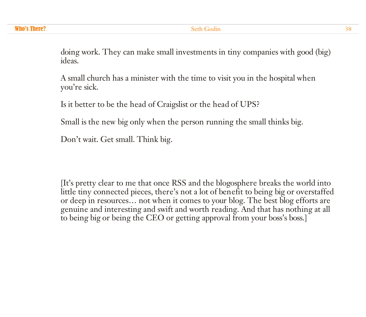**Who's There?** Seth Godin 38

doing work. They can make small investments in tiny companies with good (big) ideas.

A small church has a minister with the time to visit you in the hospital when you're sick.

Is it better to be the head of Craigslist or the head of UPS?

Small is the new big only when the person running the small thinks big.

Don't wait. Get small. Think big.

[It's pretty clear to me that once RSS and the blogosphere breaks the world into little tiny connected pieces, there's not a lot of benefit to being big or overstaffed or deep in resources… not when it comes to your blog. The best blog efforts are genuine and interesting and swift and worth reading. And that has nothing at all to being big or being the CEO or getting approval from your boss's boss.]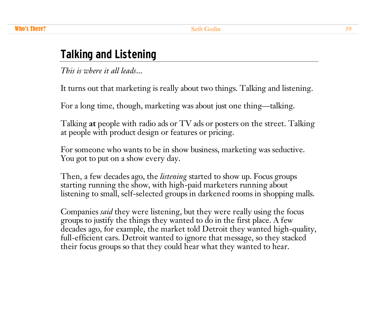# **Talking and Listening**

*This is where it all leads*...

It turns out that marketing is really about two things. Talking and listening.

For a long time, though, marketing was about just one thing—talking.

Talking **at** people with radio ads or TV ads or posters on the street. Talking at people with product design or features or pricing.

For someone who wants to be in show business, marketing was seductive. You got to put on a show every day.

Then, a few decades ago, the *listening* started to show up. Focus groups starting running the show, with high-paid marketers running about listening to small, self-selected groups in darkened rooms in shopping malls.

Companies *said* they were listening, but they were really using the focus groups to justify the things they wanted to do in the first place. A few decades ago, for example, the market told Detroit they wanted high-quality, full-efficient cars. Detroit wanted to ignore that message, so they stacked their focus groups so that they could hear what they wanted to hear.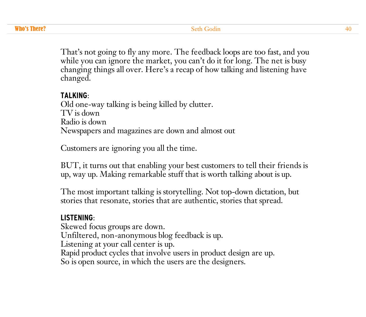That's not going to fly any more. The feedback loops are too fast, and you while you can ignore the market, you can't do it for long. The net is busy changing things all over. Here's a recap of how talking and listening have changed.

#### **TALKING**:

Old one-way talking is being killed by clutter. TV is down Radio is down Newspapers and magazines are down and almost out

Customers are ignoring you all the time.

BUT, it turns out that enabling your best customers to tell their friends is up, way up. Making remarkable stuff that is worth talking about is up.

The most important talking is storytelling. Not top-down dictation, but stories that resonate, stories that are authentic, stories that spread.

#### **LISTENING**:

Skewed focus groups are down. Unfiltered, non-anonymous blog feedback is up. Listening at your call center is up. Rapid product cycles that involve users in product design are up. So is open source, in which the users are the designers.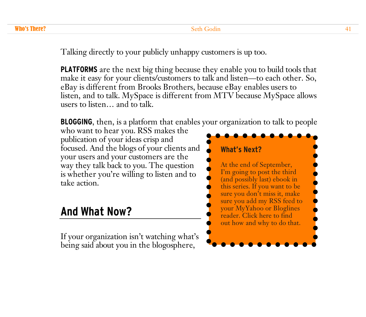Talking directly to your publicly unhappy customers is up too.

**PLATFORMS** are the next big thing because they enable you to build tools that make it easy for your clients/customers to talk and listen—to each other. So, eBay is different from Brooks Brothers, because eBay enables users to listen, and to talk. MySpace is different from MTV because MySpace allows users to listen… and to talk.

**BLOGGING**, then, is a platform that enables your organization to talk to people

who want to hear you. RSS makes the publication of your ideas crisp and focused. And the blogs of your clients and your users and your customers are the way they talk back to you. The question is whether you're willing to listen and to take action.

### **And What Now?**

If your organization isn't watching what's being said about you in the blogosphere,

### **What's Next?** At the end of September, I'm going to post the third (and possibly last) ebook in this series. If you want to be sure you don't miss it, make [sure you add my](http://feeds.feedburner.com/typepad/sethsmainblog) RSS feed to your MyYahoo or Bloglines reader. Click here to find out how and why to do that.